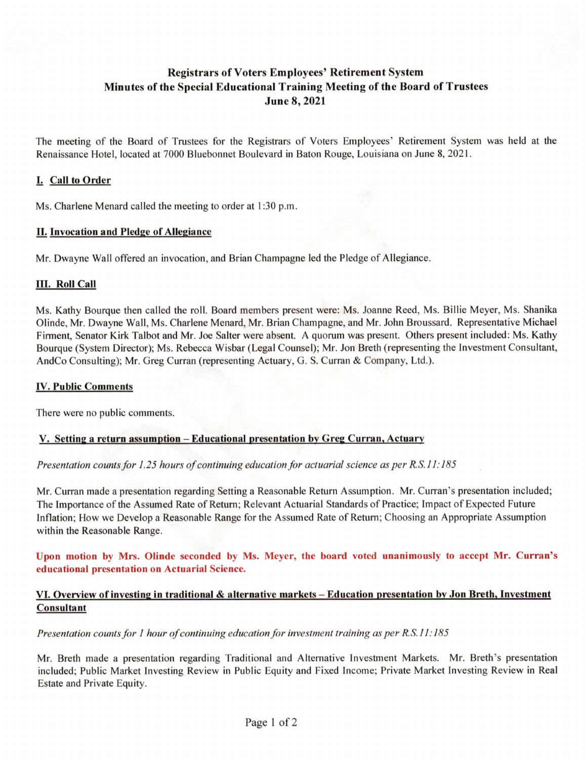# Registrars of Voters Employees' Retirement System Minutes of the Special Educational Training Meeting of the Board of Trustees June 8,2021

The meeting of the Board of Trustees for the Registrars of Voters Employees' Retirement System was held at the Renaissance Hotel, located at 7000 Bluebonnet Boulevard in Baton Rouge, Louisiana on June 8, 2021.

## L Call to Order

Ms. Charlene Menard called the meeting to order at 1:30 p.m.

#### II. Invocation and Pledge of Allegiance

Mr. Dwayne Wall offered an invocation, and Brian Champagne led the Pledge of Allegiance.

### **III. Roll Call**

Ms. Kathy Bourque then called the roll. Board members present were; Ms. Joanne Reed, Ms. Billie Meyer, Ms. Shanika Olinde, Mr. Dwayne Wall, Ms. Charlene Menard, Mr. Brian Champagne, and Mr. John Broussard. Representative Michael Firment, Senator Kirk Talbot and Mr. Joe Salter were absent. A quorum was present. Others present included: Ms. Kathy Bourque (System Director); Ms. Rebecca Wisbar (Legal Counsel); Mr. Jon Breth (representing the Investment Consultant, AndCo Consulting); Mr. Greg Curran (representing Actuary, G. S. Curran & Company, Ltd.).

#### **IV. Public Comments**

There were no public comments.

## V. Setting a return assumption - Educational presentation by Greg Curran. Actuary

Presentation counts for 1.25 hours of continuing education for actuarial science as per KS.11:185

Mr. Curran made a presentation regarding Setting a Reasonable Return Assumption. Mr. Curran's presentation included; The Importance of the Assumed Rate of Return; Relevant Actuarial Standards of Practice; Impact of Expected Future Inflation; How we Develop a Reasonable Range for the Assumed Rate of Return; Choosing an Appropriate Assumption within the Reasonable Range.

Upon motion by Mrs. Olinde seconded by Ms. Meyer, the board voted unanimously to accept Mr. Curran's educational presentation on Actuarial Science.

## VI. Overview of investing in traditional & alternative markets – Education presentation by Jon Breth, Investment Consultant

Presentation counts for I hour of continuing education for investment training as per R.S. II: 185

Mr. Breth made a presentation regarding Traditional and Alternative Investment Markets. Mr. Breth's presentation included; Public Market Investing Review in Public Equity and Fixed Income; Private Market Investing Review in Real Estate and Private Equity.